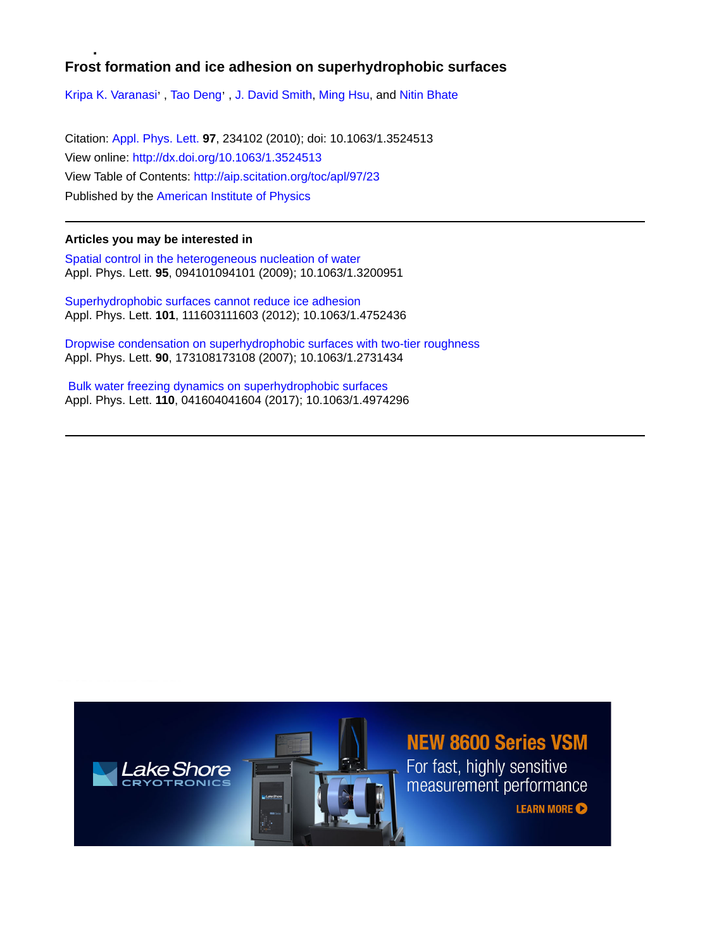## **Frost formation and ice adhesion on superhydrophobic surfaces**

[Kripa K. Varanasi](http://aip.scitation.org/author/Varanasi%2C+Kripa+K)', [Tao Deng](http://aip.scitation.org/author/Deng%2C+Tao)', [J. David Smith,](http://aip.scitation.org/author/Smith%2C+J+David) [Ming Hsu](http://aip.scitation.org/author/Hsu%2C+Ming), and [Nitin Bhate](http://aip.scitation.org/author/Bhate%2C+Nitin)

Citation: [Appl. Phys. Lett.](/loi/apl) **97**, 234102 (2010); doi: 10.1063/1.3524513 View online: <http://dx.doi.org/10.1063/1.3524513> View Table of Contents: <http://aip.scitation.org/toc/apl/97/23> Published by the [American Institute of Physics](http://aip.scitation.org/publisher/)

## **Articles you may be interested in**

[Spatial control in the heterogeneous nucleation of water](/doi/abs/10.1063/1.3200951) Appl. Phys. Lett. **95**, 094101094101 (2009); 10.1063/1.3200951

[Superhydrophobic surfaces cannot reduce ice adhesion](/doi/abs/10.1063/1.4752436) Appl. Phys. Lett. **101**, 111603111603 (2012); 10.1063/1.4752436

[Dropwise condensation on superhydrophobic surfaces with two-tier roughness](/doi/abs/10.1063/1.2731434) Appl. Phys. Lett. **90**, 173108173108 (2007); 10.1063/1.2731434

 [Bulk water freezing dynamics on superhydrophobic surfaces](/doi/abs/10.1063/1.4974296) Appl. Phys. Lett. **110**, 041604041604 (2017); 10.1063/1.4974296

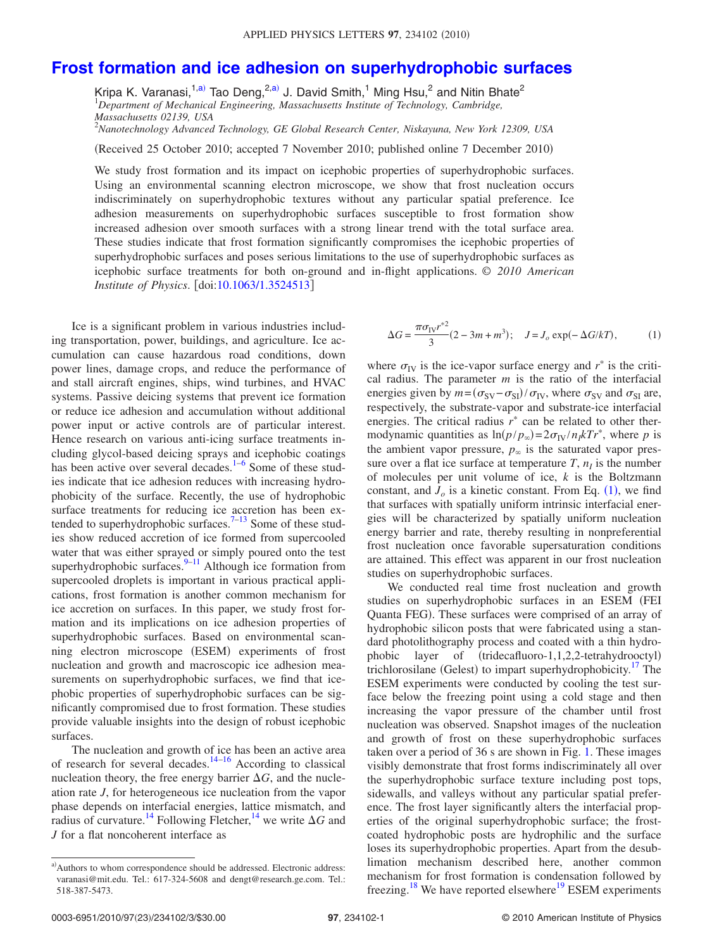## **[Frost formation and ice adhesion on superhydrophobic surfaces](http://dx.doi.org/10.1063/1.3524513)**

Kripa K. Varanasi,<sup>1[,a](#page-1-0))</sup> Tao Deng,<sup>2,a)</sup> J. David Smith,<sup>1</sup> Ming Hsu,<sup>2</sup> and Nitin Bhate<sup>2</sup> 1 *Department of Mechanical Engineering, Massachusetts Institute of Technology, Cambridge, Massachusetts 02139, USA*

2 *Nanotechnology Advanced Technology, GE Global Research Center, Niskayuna, New York 12309, USA*

(Received 25 October 2010; accepted 7 November 2010; published online 7 December 2010)

We study frost formation and its impact on icephobic properties of superhydrophobic surfaces. Using an environmental scanning electron microscope, we show that frost nucleation occurs indiscriminately on superhydrophobic textures without any particular spatial preference. Ice adhesion measurements on superhydrophobic surfaces susceptible to frost formation show increased adhesion over smooth surfaces with a strong linear trend with the total surface area. These studies indicate that frost formation significantly compromises the icephobic properties of superhydrophobic surfaces and poses serious limitations to the use of superhydrophobic surfaces as icephobic surface treatments for both on-ground and in-flight applications. © *2010 American Institute of Physics.* [doi[:10.1063/1.3524513](http://dx.doi.org/10.1063/1.3524513)]

Ice is a significant problem in various industries including transportation, power, buildings, and agriculture. Ice accumulation can cause hazardous road conditions, down power lines, damage crops, and reduce the performance of and stall aircraft engines, ships, wind turbines, and HVAC systems. Passive deicing systems that prevent ice formation or reduce ice adhesion and accumulation without additional power input or active controls are of particular interest. Hence research on various anti-icing surface treatments including glycol-based deicing sprays and icephobic coatings has been active over several decades.<sup>1[–6](#page-3-1)</sup> Some of these studies indicate that ice adhesion reduces with increasing hydrophobicity of the surface. Recently, the use of hydrophobic surface treatments for reducing ice accretion has been extended to superhydrophobic surfaces.<sup>7-13</sup> Some of these studies show reduced accretion of ice formed from supercooled water that was either sprayed or simply poured onto the test superhydrophobic surfaces.<sup>9–[11](#page-3-5)</sup> Although ice formation from supercooled droplets is important in various practical applications, frost formation is another common mechanism for ice accretion on surfaces. In this paper, we study frost formation and its implications on ice adhesion properties of superhydrophobic surfaces. Based on environmental scanning electron microscope (ESEM) experiments of frost nucleation and growth and macroscopic ice adhesion measurements on superhydrophobic surfaces, we find that icephobic properties of superhydrophobic surfaces can be significantly compromised due to frost formation. These studies provide valuable insights into the design of robust icephobic surfaces.

The nucleation and growth of ice has been an active area of research for several decades.<sup>14[–16](#page-3-7)</sup> According to classical nucleation theory, the free energy barrier  $\Delta G$ , and the nucleation rate *J*, for heterogeneous ice nucleation from the vapor phase depends on interfacial energies, lattice mismatch, and radius of curvature.<sup>14</sup> Following Fletcher,<sup>14</sup> we write  $\Delta G$  and *J* for a flat noncoherent interface as

<span id="page-1-1"></span>
$$
\Delta G = \frac{\pi \sigma_{\text{IV}} r^{*2}}{3} (2 - 3m + m^3); \quad J = J_o \exp(-\Delta G / kT), \quad (1)
$$

where  $\sigma_{IV}$  is the ice-vapor surface energy and  $r^*$  is the critical radius. The parameter *m* is the ratio of the interfacial energies given by  $m = (\sigma_{SV} - \sigma_{SI})/\sigma_{IV}$ , where  $\sigma_{SV}$  and  $\sigma_{SI}$  are, respectively, the substrate-vapor and substrate-ice interfacial energies. The critical radius  $r^*$  can be related to other thermodynamic quantities as  $\ln(p/p_\infty) = 2\sigma_{\text{IV}}/n_I k Tr^*$ , where *p* is the ambient vapor pressure,  $p_{\infty}$  is the saturated vapor pressure over a flat ice surface at temperature  $T$ ,  $n<sub>I</sub>$  is the number of molecules per unit volume of ice, *k* is the Boltzmann constant, and  $J<sub>o</sub>$  is a kinetic constant. From Eq.  $(1)$  $(1)$  $(1)$ , we find that surfaces with spatially uniform intrinsic interfacial energies will be characterized by spatially uniform nucleation energy barrier and rate, thereby resulting in nonpreferential frost nucleation once favorable supersaturation conditions are attained. This effect was apparent in our frost nucleation studies on superhydrophobic surfaces.

We conducted real time frost nucleation and growth studies on superhydrophobic surfaces in an ESEM (FEI Quanta FEG). These surfaces were comprised of an array of hydrophobic silicon posts that were fabricated using a standard photolithography process and coated with a thin hydrophobic layer of (tridecafluoro-1,1,2,2-tetrahydrooctyl) trichlorosilane (Gelest) to impart superhydrophobicity.<sup>17</sup> The ESEM experiments were conducted by cooling the test surface below the freezing point using a cold stage and then increasing the vapor pressure of the chamber until frost nucleation was observed. Snapshot images of the nucleation and growth of frost on these superhydrophobic surfaces taken over a period of 36 s are shown in Fig. [1.](#page-2-0) These images visibly demonstrate that frost forms indiscriminately all over the superhydrophobic surface texture including post tops, sidewalls, and valleys without any particular spatial preference. The frost layer significantly alters the interfacial properties of the original superhydrophobic surface; the frostcoated hydrophobic posts are hydrophilic and the surface loses its superhydrophobic properties. Apart from the desublimation mechanism described here, another common mechanism for frost formation is condensation followed by freezing.<sup>18</sup> We have reported elsewhere<sup>19</sup> ESEM experiments

<span id="page-1-0"></span>a) Authors to whom correspondence should be addressed. Electronic address: varanasi@mit.edu. Tel.: 617-324-5608 and dengt@research.ge.com. Tel.: 518-387-5473.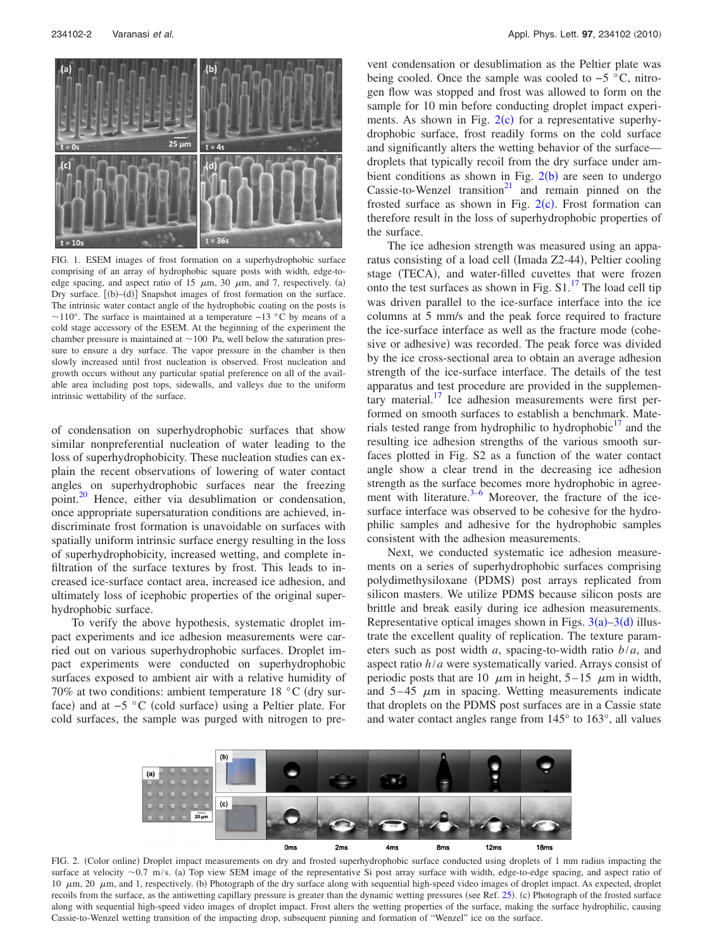<span id="page-2-0"></span>

FIG. 1. ESEM images of frost formation on a superhydrophobic surface comprising of an array of hydrophobic square posts with width, edge-toedge spacing, and aspect ratio of 15  $\mu$ m, 30  $\mu$ m, and 7, respectively. (a) Dry surface. [(b)–(d)] Snapshot images of frost formation on the surface. The intrinsic water contact angle of the hydrophobic coating on the posts is  $\sim$ 110°. The surface is maintained at a temperature −13 °C by means of a cold stage accessory of the ESEM. At the beginning of the experiment the chamber pressure is maintained at  $\sim$  100 Pa, well below the saturation pressure to ensure a dry surface. The vapor pressure in the chamber is then slowly increased until frost nucleation is observed. Frost nucleation and growth occurs without any particular spatial preference on all of the available area including post tops, sidewalls, and valleys due to the uniform intrinsic wettability of the surface.

of condensation on superhydrophobic surfaces that show similar nonpreferential nucleation of water leading to the loss of superhydrophobicity. These nucleation studies can explain the recent observations of lowering of water contact angles on superhydrophobic surfaces near the freezing point[.20](#page-3-11) Hence, either via desublimation or condensation, once appropriate supersaturation conditions are achieved, indiscriminate frost formation is unavoidable on surfaces with spatially uniform intrinsic surface energy resulting in the loss of superhydrophobicity, increased wetting, and complete infiltration of the surface textures by frost. This leads to increased ice-surface contact area, increased ice adhesion, and ultimately loss of icephobic properties of the original superhydrophobic surface.

<span id="page-2-1"></span>To verify the above hypothesis, systematic droplet impact experiments and ice adhesion measurements were carried out on various superhydrophobic surfaces. Droplet impact experiments were conducted on superhydrophobic surfaces exposed to ambient air with a relative humidity of 70% at two conditions: ambient temperature 18  $^{\circ}$ C (dry surface) and at −5 °C (cold surface) using a Peltier plate. For cold surfaces, the sample was purged with nitrogen to prevent condensation or desublimation as the Peltier plate was being cooled. Once the sample was cooled to −5 °C, nitrogen flow was stopped and frost was allowed to form on the sample for 10 min before conducting droplet impact experiments. As shown in Fig.  $2(c)$  $2(c)$  for a representative superhydrophobic surface, frost readily forms on the cold surface and significantly alters the wetting behavior of the surface droplets that typically recoil from the dry surface under ambient conditions as shown in Fig.  $2(b)$  $2(b)$  are seen to undergo Cassie-to-Wenzel transition<sup>21</sup> and remain pinned on the frosted surface as shown in Fig.  $2(c)$  $2(c)$ . Frost formation can therefore result in the loss of superhydrophobic properties of the surface.

The ice adhesion strength was measured using an apparatus consisting of a load cell (Imada Z2-44), Peltier cooling stage (TECA), and water-filled cuvettes that were frozen onto the test surfaces as shown in Fig.  $S1$ .<sup>17</sup> The load cell tip was driven parallel to the ice-surface interface into the ice columns at 5 mm/s and the peak force required to fracture the ice-surface interface as well as the fracture mode (cohesive or adhesive) was recorded. The peak force was divided by the ice cross-sectional area to obtain an average adhesion strength of the ice-surface interface. The details of the test apparatus and test procedure are provided in the supplementary material. $\frac{17}{12}$  Ice adhesion measurements were first performed on smooth surfaces to establish a benchmark. Materials tested range from hydrophilic to hydrophobic $\frac{17}{17}$  and the resulting ice adhesion strengths of the various smooth surfaces plotted in Fig. S2 as a function of the water contact angle show a clear trend in the decreasing ice adhesion strength as the surface becomes more hydrophobic in agreement with literature. $3-6$  $3-6$  Moreover, the fracture of the icesurface interface was observed to be cohesive for the hydrophilic samples and adhesive for the hydrophobic samples consistent with the adhesion measurements.

Next, we conducted systematic ice adhesion measurements on a series of superhydrophobic surfaces comprising polydimethysiloxane (PDMS) post arrays replicated from silicon masters. We utilize PDMS because silicon posts are brittle and break easily during ice adhesion measurements. Representative optical images shown in Figs.  $3(a) - 3(d)$  $3(a) - 3(d)$  illustrate the excellent quality of replication. The texture parameters such as post width *a*, spacing-to-width ratio *b*/*a*, and aspect ratio *h*/*a* were systematically varied. Arrays consist of periodic posts that are 10  $\mu$ m in height, 5–15  $\mu$ m in width, and  $5-45 \mu m$  in spacing. Wetting measurements indicate that droplets on the PDMS post surfaces are in a Cassie state and water contact angles range from 145° to 163°, all values



FIG. 2. (Color online) Droplet impact measurements on dry and frosted superhydrophobic surface conducted using droplets of 1 mm radius impacting the surface at velocity  $\sim 0.7$  m/s. (a) Top view SEM image of the representative Si post array surface with width, edge-to-edge spacing, and aspect ratio of 10  $\mu$ m, 20  $\mu$ m, and 1, respectively. (b) Photograph of the dry surface along with sequential high-speed video images of droplet impact. As expected, droplet recoils from the surface, as the antiwetting capillary pressure is greater than the dynamic wetting pressures (see Ref. [25](#page-3-15)). (c) Photograph of the frosted surface along with sequential high-speed video images of droplet impact. Frost alters the wetting properties of the surface, making the surface hydrophilic, causing Cassie-to-Wenzel wetting transition of the impacting drop, subsequent pinning and formation of "Wenzel" ice on the surface.